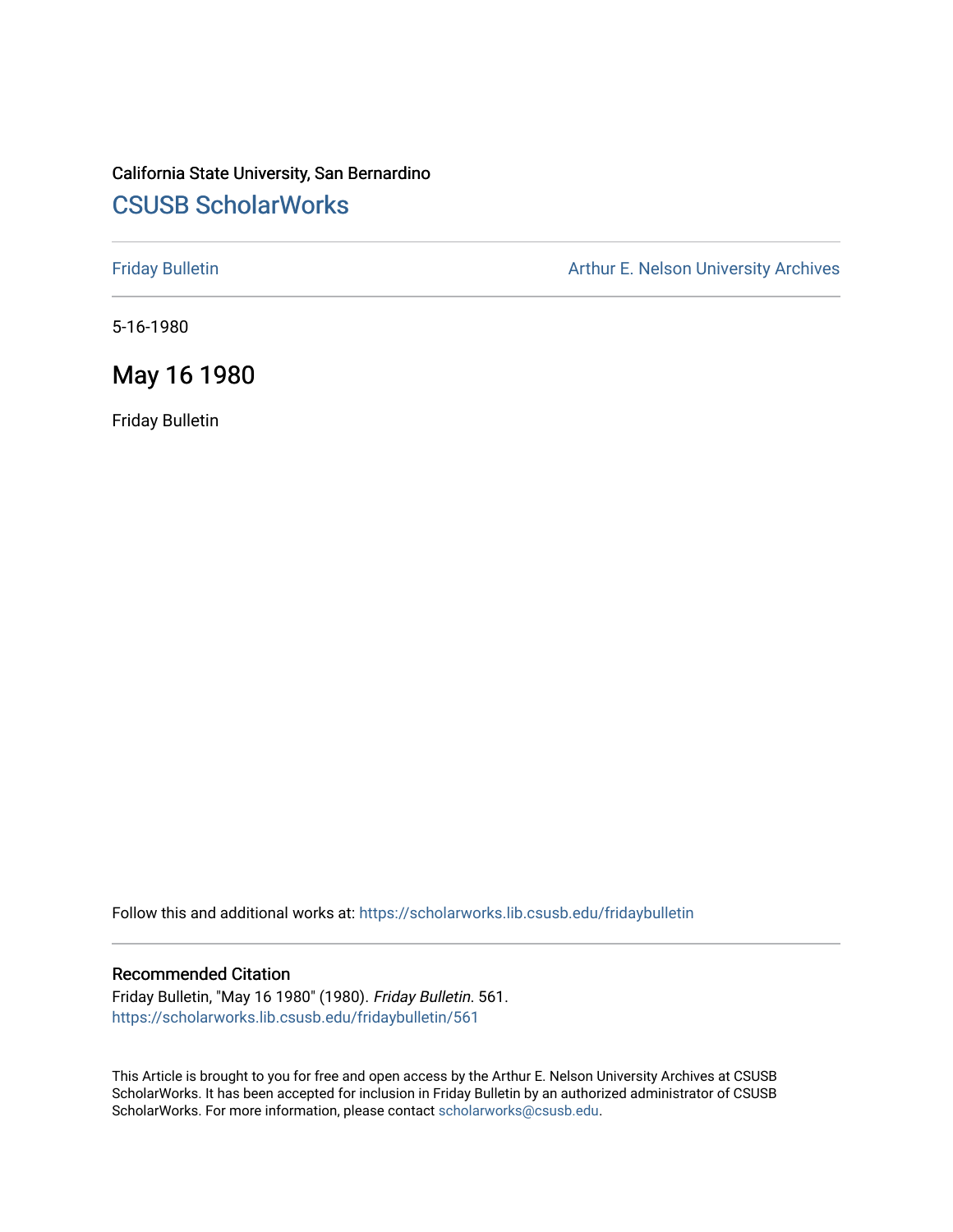# California State University, San Bernardino [CSUSB ScholarWorks](https://scholarworks.lib.csusb.edu/)

[Friday Bulletin](https://scholarworks.lib.csusb.edu/fridaybulletin) **Arthur E. Nelson University Archives** Arthur E. Nelson University Archives

5-16-1980

## May 16 1980

Friday Bulletin

Follow this and additional works at: [https://scholarworks.lib.csusb.edu/fridaybulletin](https://scholarworks.lib.csusb.edu/fridaybulletin?utm_source=scholarworks.lib.csusb.edu%2Ffridaybulletin%2F561&utm_medium=PDF&utm_campaign=PDFCoverPages)

### Recommended Citation

Friday Bulletin, "May 16 1980" (1980). Friday Bulletin. 561. [https://scholarworks.lib.csusb.edu/fridaybulletin/561](https://scholarworks.lib.csusb.edu/fridaybulletin/561?utm_source=scholarworks.lib.csusb.edu%2Ffridaybulletin%2F561&utm_medium=PDF&utm_campaign=PDFCoverPages)

This Article is brought to you for free and open access by the Arthur E. Nelson University Archives at CSUSB ScholarWorks. It has been accepted for inclusion in Friday Bulletin by an authorized administrator of CSUSB ScholarWorks. For more information, please contact [scholarworks@csusb.edu.](mailto:scholarworks@csusb.edu)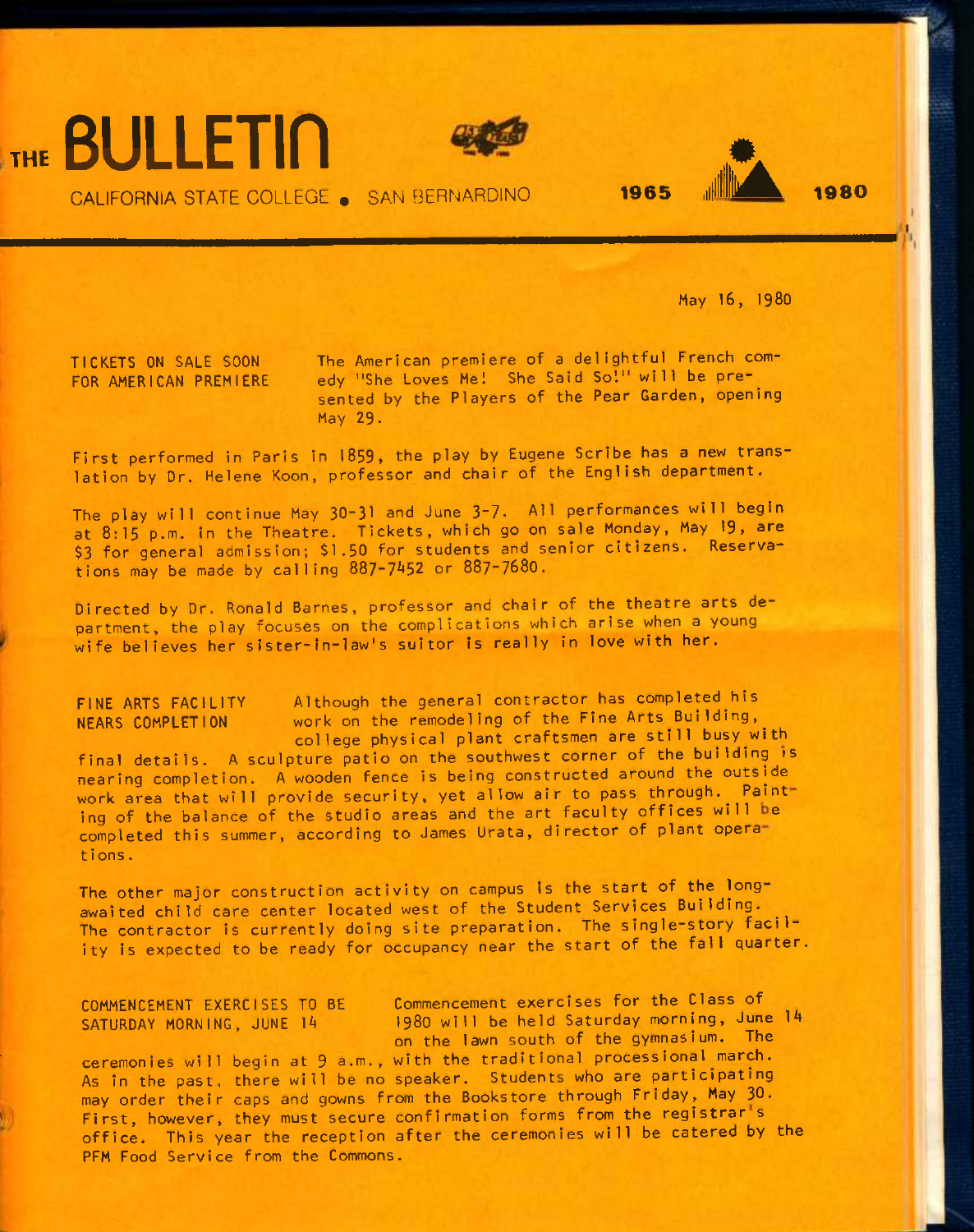





CALIFORNIA STATE COLLEGE « SAN BERNARDINO 1965 .ill **illiA** <sup>1980</sup>

**May 16, I98O** 

**TICKETS ON SALE SOON The American premiere of a delightful French com-**FOR AMERICAN PREMIERE edy "She Loves Me! She Said So!" will be pre**sented by the Players of the Pear Garden, opening May 29.** 

First performed in Paris in 1859, the play by Eugene Scribe has a new trans**lation by Dr. Helene Koon, professor and chair of the English department.** 

**The play will continue May 30-31 and June 3-7- All performances will begin at 8:15 p.m. in the Theatre. Tickets, which go on sale Monday, May 19, are \$3 for general admission; \$1.50 for students and senior citizens. Reservations may be made by calling 887-7^52 or 887~7680.** 

**Directed by Dr. Ronald Barnes, professor and chair of the theatre arts department, the play focuses on the complications which arise when a young wife believes her sister-in-law's suitor is really in love with her.** 

**FINE ARTS FACILITY Although the general contractor has completed his NEARS COMPLETION work on the remodeling of the Fine Arts Building,^ college physical plant craftsmen are still busy with final details. A sculpture patio on the southwest corner of the building is Hearing completion. A wooden fence is being constructed around the outside**  work area that will provide security, yet allow air to pass through. Painting of the balance of the studio areas and the art faculty offices will be completed this summer, according to James Urata, director of plant opera**tions.** 

**The other major construction activity on campus is the start of the longawaited child care center located west of the Student Services Building. The contractor is currently doing site preparation. The single-story facility is expected to be ready for occupancy near the start of the fall quarter.** 

**COMMENCEMENT EXERCISES TO BE Commencement exercises for the Class of**  SATURDAY MORNING, JUNE 14 1980 will be held Saturday morning, June 14 **on the lawn south of the gymnasium. The** 

**ceremonies will begin at 9 a.m., with the traditional** process **ional march. As in the past, there will be no speaker. Students who are participating may order their caps and gowns from the Bookstore through Friday, May 30.**  First, however, they must secure confirmation forms from the registrar<sup>1</sup>s **office. This year the reception after the ceremonies will be catered by the PFM Food Service from the Commons.**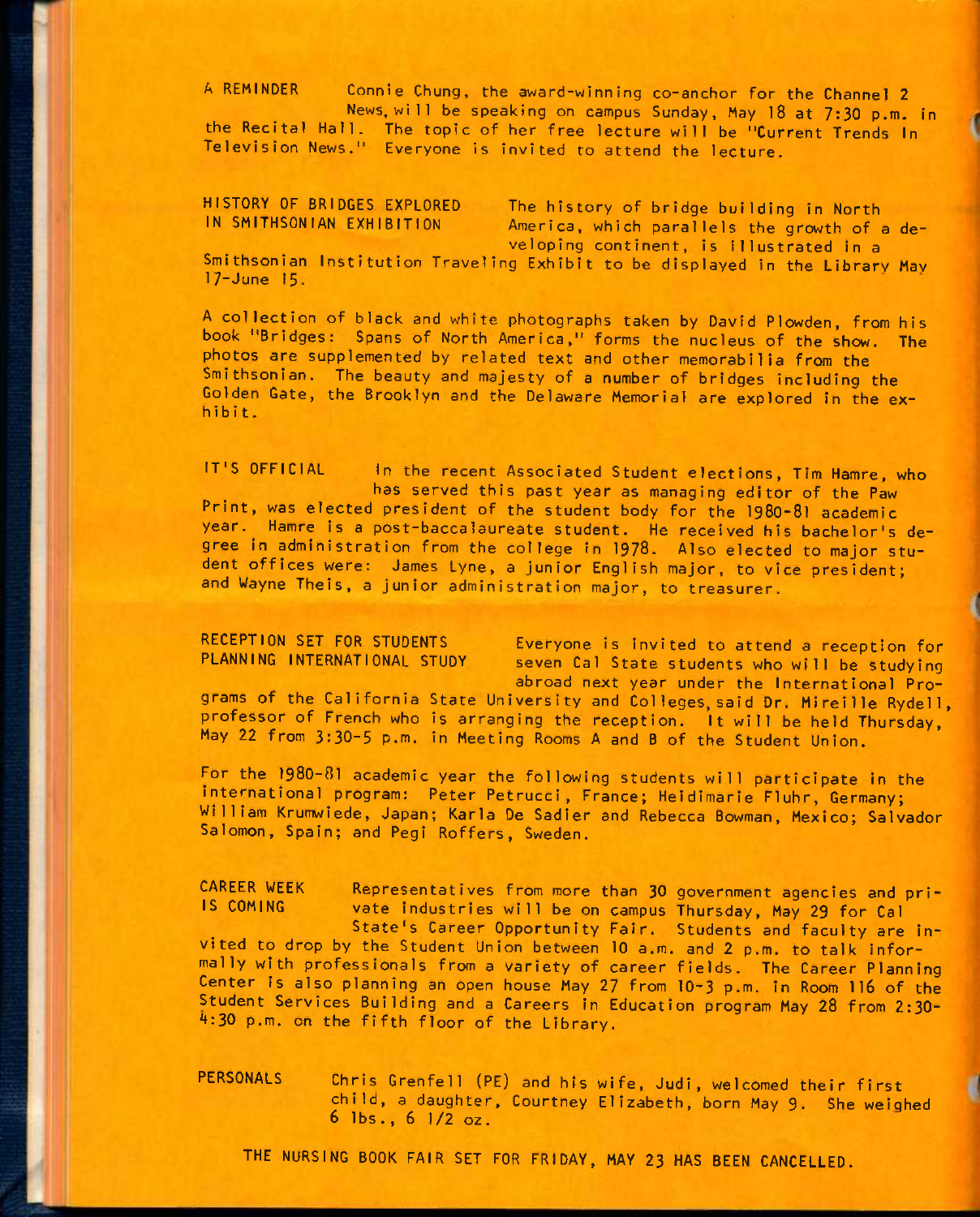A REMINDER Connie Chung, the award-winning co-anchor for the Channel 2 News, wi11 be speaking on campus Sunday, May 18 at 7:30 p.m. in the Recital Hall. The topic of her free lecture will be "Current Trends In Television News." Everyone is invited to attend the lecture.

HISTORY OF BRIDGES EXPLORED The history of bridge building in North<br>IN SMITHSONIAN EXHIBITION America, which parallels the growth of a America, which parallels the growth of a developing continent, is Illustrated In a Smithsonian Institution Traveling Exhibit to be displayed in the Librarv Mav 17-June 15.

A collection of black and white photographs taken by David Plowden, from his book "Bridges: Spans of North America," forms the nucleus of the show. The photos are supplemented by related text and other memorabilia from the Smithsonian. The beauty and majesty of a number of bridges including the Golden Gate, the Brooklyn and the Delaware Memorial are explored in the exhibit.

IT'S OFFICIAL In the recent Associated Student elections, Tim Hamre, who has served this past year as managing editor of the Paw Print, was elected president of the student body for the I98O-8I academic year. Hamre is a post-baccalaureate student. He received his bachelor's degree in administration from the college in 1978. Also elected to major student offices were: James Lyne, a junior English major, to vice president; and Wayne Theis, a junior administration major, to treasurer.

RECEPTION SET FOR STUDENTS Everyone is invited to attend a reception for<br>PLANNING INTERNATIONAL STUDY seven Cal State students who will be studying seven Cal State students who will be studying abroad next year under the International Pro-

grams of the California State University and Col leges, said Dr. Mireille Rydell, professor of French who is arranging the reception. It will be held Thursday, May 22 from 3:30-5 p.m. in Meeting Rooms A and B of the Student Union.

For the I98O-8I academic year the following students will participate in the international program: Peter Petrucci, France; Heidimarie Fluhr, Germany; William Krumwiede, Japan; Karla De Sadier and Rebecca Bowman, Mexico; Salvador Salomon, Spain; and Pegi Roffers, Sweden.

CAREER WEEK Representatives from more than 30 government agencies and pri-<br>IS COMING vate industries will be on campus Thursday May 29 for Cal vate industries will be on campus Thursday, May 29 for Cal State's Career Opportunity Fair. Students and faculty are invited to drop by the Student Union between 10 a.m. and 2 p.m. to talk informally with professionals from a variety of career fields. The Career Planning Center is also planning an open house May 27 from IO-3 p.m. in Room II6 of the Student Services Building and a Careers in Education program May 28 from 2:30- A:30 p.m. on the fifth floor of the Library.

PERSONALS Chris Grenfell (PE) and his wife, Judi, welcomed their first child, a daughter, Courtney Elizabeth, born May 9. She weighed 6 lbs., 6 1/2 oz.

THE NURSING BOOK FAIR SET FOR FRIDAY, MAY 23 HAS BEEN CANCELLED.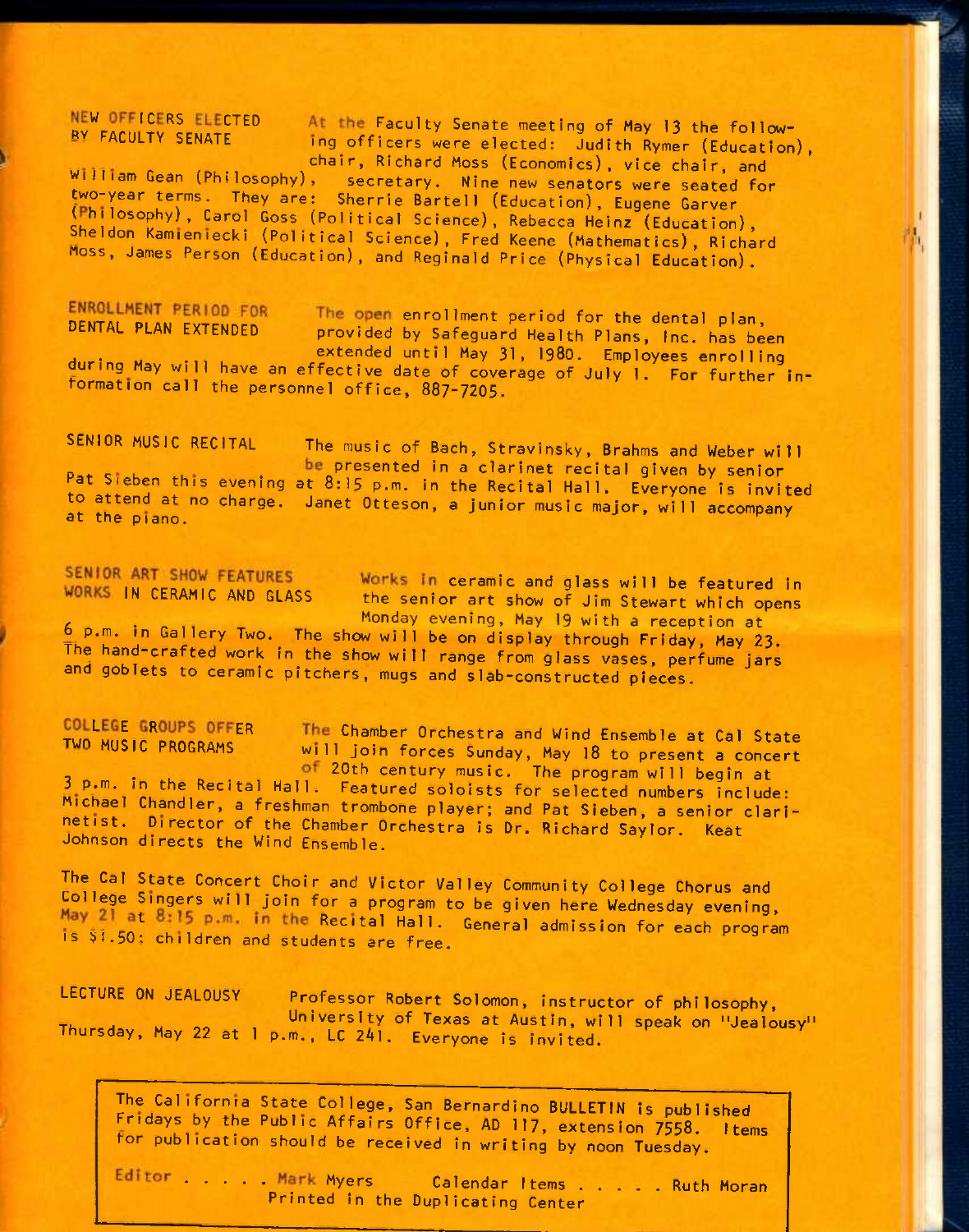NEW OFFICERS ELECTED At the Faculty Senate meeting of May 13 the follow-<br>BY FACULTY SENATE in a officers wore elected: ludith Bune (Elected) ing officers were elected: Judith Rymer (Education), chair, Richard Moss (Economics), vice chair, and

William Gean (Philosophy), secretary. Nine new senators were seated for two-year terms. They are: Sherrie Bartell (Education), Eugene Garver (Philosophy), Carol Goss (Political Science), Rebecca Heinz (Education), Sheldon Kamieniecki (Political Science), Fred Keene (Mathematics), Richard noss, James Person (Education), and Reginald Price (Physical Education).

ENROLLMENT PERIOD FOR The open enrollment period for the dental plan, DENTAL PLAN EXTENDED provided by Safeguard Health Plans, Inc. has been extended until May 31, 1980. Employees enrolling during May will have an effective date of coverage of July 1. For further information call the personnel office, 887-7205.

SENIOR MUSIC RECITAL The music of Bach, Stravinsky, Brahms and Weber will be presented in a clarinet recital given by senior Pat Sieben this evening at 8:15 p.m. in the Recital Hall. Everyone is invited to attend at no charge. Janet Otteson, a junior music major, will accompany at the piano.

SENIOR ART SHOW FEATURES Works in ceramic and glass will be featured in WORKS IN CERAMIC AND GLASS the senior art show of Jim Stewart which opens<br>Monday evening, May 19 with a reception at f- . Monday evening, May 19 with a reception at b p.m. in Gallery Two. The show will be on display through Friday, May 23. The hand-crafted work in the show will range from glass vases, perfume jars and goblets to ceramic pitchers, mugs and slab-constructed pieces.

COLLEGE GROUPS OFFER<br>TWO MUSIC PROGRAMS will join forces Sunday May 18 to prosent a concent will join forces Sunday, May 18 to present a concert of 20th century music. The program will begin at 3 p.m. in the Recital Hall. Featured soloists for selected numbers include: Michael Chandler, a freshman trombone player; and Pat Sieben, a senior clarinetist. Director of the Chamber Orchestra is Dr. Richard Saylor. Keat Johnson directs the Wind Ensemble.

The Cal State Concert Choir and Victor Valley Community College Chorus and College Singers will join for a program to be given here Wednesday evening, May 21 at 8:15 p.m. in the Recital Hall. General admission for each program is \$1.50: children and students are free.

LECTURE ON JEALOUSY Professor Robert Solomon, instructor of philosophy, University of Texas at Austin, will speak on "Jealousy" Thursday, May 22 at 1 p.m., LC 2Al. Everyone is invited.

The California State College, San Bernardino BULLETIN is published Fridays by the Public Affairs Office, AD 117, extension 7558. Items tor publication should be received in writing by noon Tuesday.

Editor . . . Mark Myers Calendar I tems . . . . Ruth Moran Printed in the Duplicating Center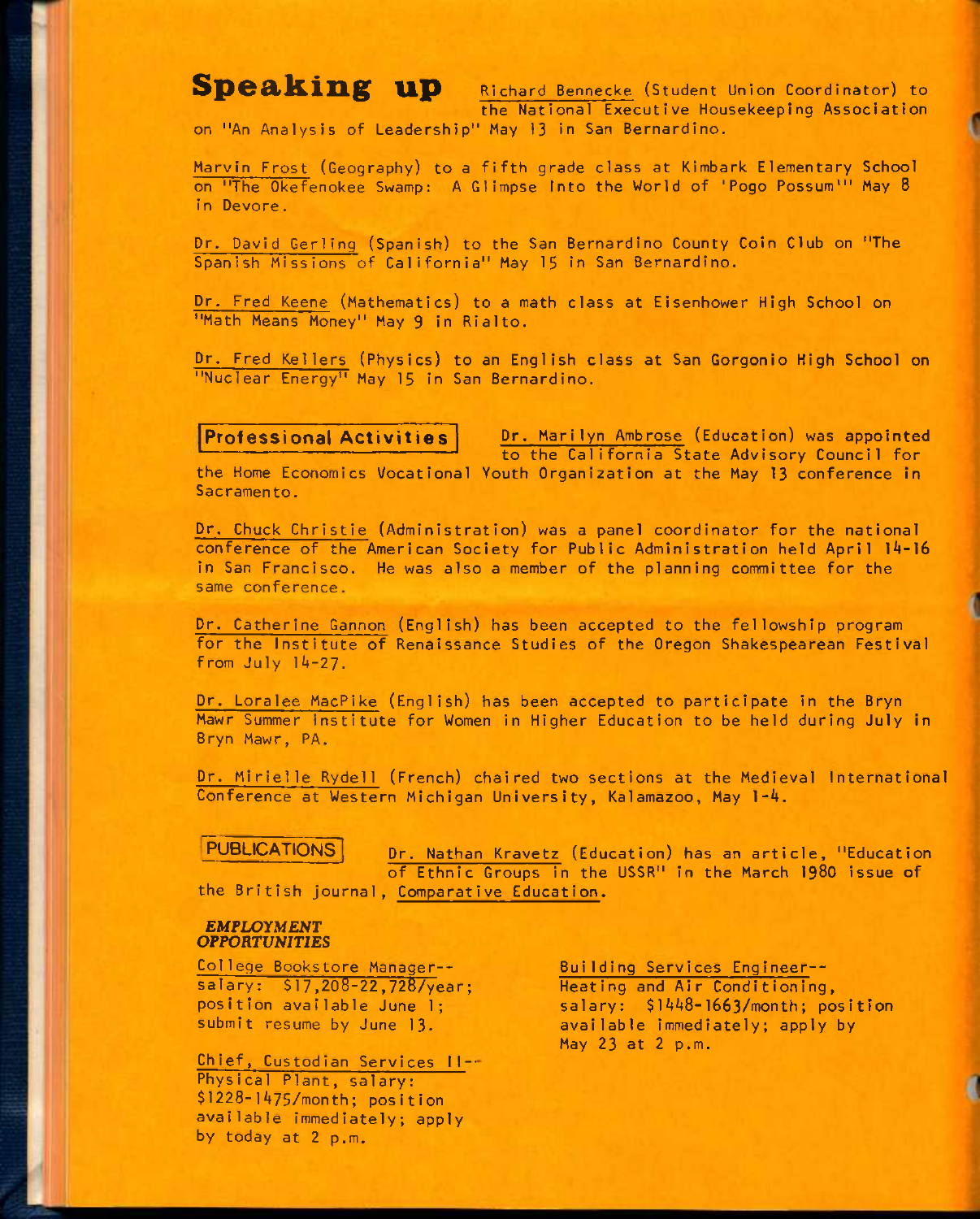**Speaking up** Richard Bennecke (Student Union Coordinator) to the National Executive Housekeeping Association

on "An Analysis of Leadership" May 13 in San Bernardino.

Marvin Frost (Geography) to a fifth grade class at Kimbark Elementary School on "The Okefenokee Swamp: A Glimpse Into the World of 'Pogo Possum'" May 8 in Devore.

Dr. David Gerling (Spanish) to the San Bernardino County Coin Club on "The Spanish Missions of California" May 15 in San Bernardino.

Dr. Fred Keene (Mathematics) to a math class at Eisenhower High School on "Math Means Money" May 9 in Rialto.

Dr. Fred Kellers (Physics) to an English class at San Gorgonio High School on "Nuclear Energy" May 15 in San Bernardino.

**Professional Activities** Dr. Marilyn Ambrose (Education) was appointed to the California State Advisory Council for

the Home Economics Vocational Youth Organization at the May 13 conference In Sacramento.

Dr. Chuck Christie (Administration) was a panel coordinator for the national conference of the American Society for Public Administration held April 14-16 In San Francisco. He was also a member of the planning committee for the same conference.

Dr. Catherine Gannon (English) has been accepted to the fellowship program for the Institute of Renaissance Studies of the Oregon Shakespearean Festival from July 14-27.

Dr. Loralee MacPike (English) has been accepted to participate in the Bryn Mawr Summer institute for Women in Higher Education to be held during July in Bryn Mawr, PA.

Dr. Mirielle Rydell (French) chaired two sections at the Medieval International Conference at Western Michigan University, Kalamazoo, May 1-4.

PUBLICATIONS **Dr. Nathan Kravetz** (Education) has an article, "Education of Ethnic Groups in the USSR" in the March 1980 issue of the British journal, Comparative Education.

### *EMPLOYMENT OPPORTUNITIES*

College Bookstore Manager- salary: \$ 17,208-22,728/year; position available June 1;

submit resume by June 13.

Chief, Custodian Services II-' Physical Plant, salary: \$1228-l475/month; position available immediately; apply by today at 2 p.m.

Building Services Engineer-- Heating and Air Conditioning, salary: \$ 1448-1663/month; position available Immediately; apply by May 23 at 2 p.m.